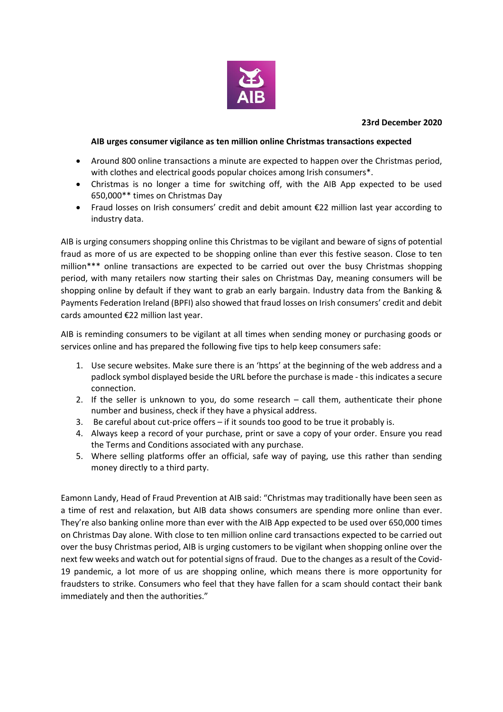

## **23rd December 2020**

#### **AIB urges consumer vigilance as ten million online Christmas transactions expected**

- Around 800 online transactions a minute are expected to happen over the Christmas period, with clothes and electrical goods popular choices among Irish consumers\*.
- Christmas is no longer a time for switching off, with the AIB App expected to be used 650,000\*\* times on Christmas Day
- Fraud losses on Irish consumers' credit and debit amount €22 million last year according to industry data.

AIB is urging consumers shopping online this Christmas to be vigilant and beware of signs of potential fraud as more of us are expected to be shopping online than ever this festive season. Close to ten million\*\*\* online transactions are expected to be carried out over the busy Christmas shopping period, with many retailers now starting their sales on Christmas Day, meaning consumers will be shopping online by default if they want to grab an early bargain. Industry data from the Banking & Payments Federation Ireland (BPFI) also showed that fraud losses on Irish consumers' credit and debit cards amounted €22 million last year.

AIB is reminding consumers to be vigilant at all times when sending money or purchasing goods or services online and has prepared the following five tips to help keep consumers safe:

- 1. Use secure websites. Make sure there is an 'https' at the beginning of the web address and a padlock symbol displayed beside the URL before the purchase is made - this indicates a secure connection.
- 2. If the seller is unknown to you, do some research call them, authenticate their phone number and business, check if they have a physical address.
- 3. Be careful about cut-price offers if it sounds too good to be true it probably is.
- 4. Always keep a record of your purchase, print or save a copy of your order. Ensure you read the Terms and Conditions associated with any purchase.
- 5. Where selling platforms offer an official, safe way of paying, use this rather than sending money directly to a third party.

Eamonn Landy, Head of Fraud Prevention at AIB said: "Christmas may traditionally have been seen as a time of rest and relaxation, but AIB data shows consumers are spending more online than ever. They're also banking online more than ever with the AIB App expected to be used over 650,000 times on Christmas Day alone. With close to ten million online card transactions expected to be carried out over the busy Christmas period, AIB is urging customers to be vigilant when shopping online over the next few weeks and watch out for potential signs of fraud. Due to the changes as a result of the Covid-19 pandemic, a lot more of us are shopping online, which means there is more opportunity for fraudsters to strike. Consumers who feel that they have fallen for a scam should contact their bank immediately and then the authorities."